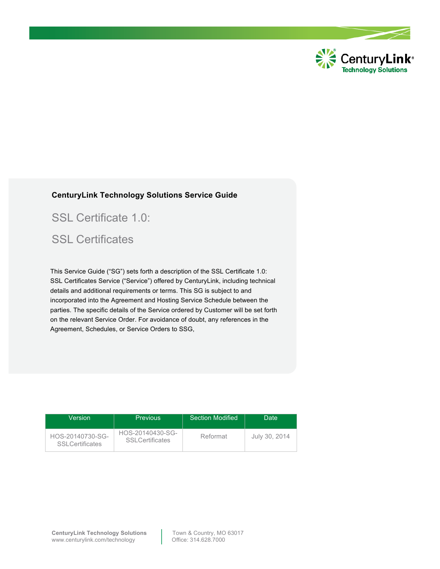

#### **CenturyLink Technology Solutions Service Guide**

SSL Certificate 1.0:

## SSL Certificates

This Service Guide ("SG") sets forth a description of the SSL Certificate 1.0: SSL Certificates Service ("Service") offered by CenturyLink, including technical details and additional requirements or terms. This SG is subject to and incorporated into the Agreement and Hosting Service Schedule between the parties. The specific details of the Service ordered by Customer will be set forth on the relevant Service Order. For avoidance of doubt, any references in the Agreement, Schedules, or Service Orders to SSG,

| Version                                    | <b>Previous</b>                             | <b>Section Modified</b> | Date.         |
|--------------------------------------------|---------------------------------------------|-------------------------|---------------|
| HOS-20140730-SG-<br><b>SSLCertificates</b> | HOS-20140430-SG-<br><b>SSI Certificates</b> | Reformat                | July 30, 2014 |

**CenturyLink Technology Solutions** Town & Country, MO 63017 www.centurylink.com/technology Qffice: 314.628.7000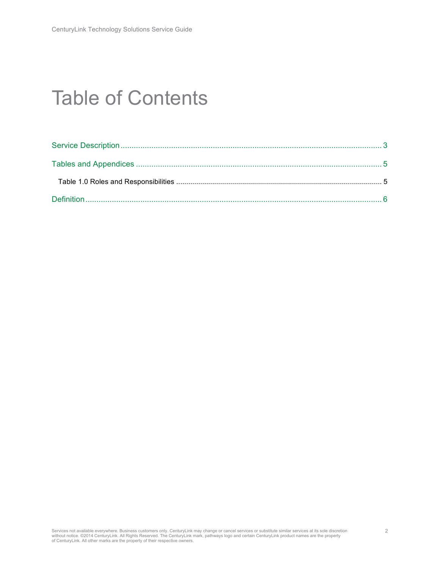# Table of Contents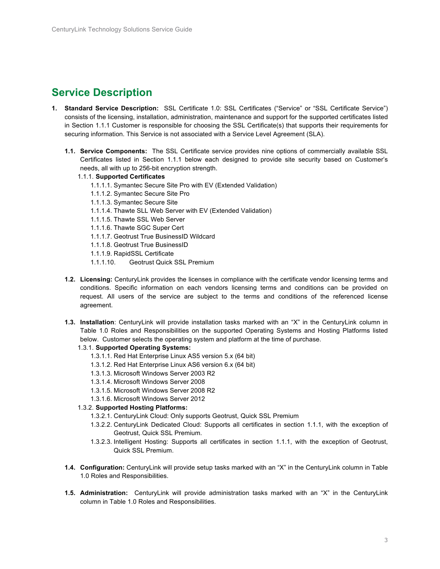#### **Service Description**

- **1. Standard Service Description:** SSL Certificate 1.0: SSL Certificates ("Service" or "SSL Certificate Service") consists of the licensing, installation, administration, maintenance and support for the supported certificates listed in Section 1.1.1 Customer is responsible for choosing the SSL Certificate(s) that supports their requirements for securing information. This Service is not associated with a Service Level Agreement (SLA).
	- **1.1. Service Components:** The SSL Certificate service provides nine options of commercially available SSL Certificates listed in Section 1.1.1 below each designed to provide site security based on Customer's needs, all with up to 256-bit encryption strength.
		- 1.1.1. **Supported Certificates**
			- 1.1.1.1. Symantec Secure Site Pro with EV (Extended Validation)
			- 1.1.1.2. Symantec Secure Site Pro
			- 1.1.1.3. Symantec Secure Site
			- 1.1.1.4. Thawte SLL Web Server with EV (Extended Validation)
			- 1.1.1.5. Thawte SSL Web Server
			- 1.1.1.6. Thawte SGC Super Cert
			- 1.1.1.7. Geotrust True BusinessID Wildcard
			- 1.1.1.8. Geotrust True BusinessID
			- 1.1.1.9. RapidSSL Certificate
			- 1.1.1.10. Geotrust Quick SSL Premium
	- **1.2. Licensing:** CenturyLink provides the licenses in compliance with the certificate vendor licensing terms and conditions. Specific information on each vendors licensing terms and conditions can be provided on request. All users of the service are subject to the terms and conditions of the referenced license agreement.
	- **1.3. Installation**: CenturyLink will provide installation tasks marked with an "X" in the CenturyLink column in Table 1.0 Roles and Responsibilities on the supported Operating Systems and Hosting Platforms listed below. Customer selects the operating system and platform at the time of purchase.
		- 1.3.1. **Supported Operating Systems:** 
			- 1.3.1.1. Red Hat Enterprise Linux AS5 version 5.x (64 bit)
			- 1.3.1.2. Red Hat Enterprise Linux AS6 version 6.x (64 bit)
			- 1.3.1.3. Microsoft Windows Server 2003 R2
			- 1.3.1.4. Microsoft Windows Server 2008
			- 1.3.1.5. Microsoft Windows Server 2008 R2
			- 1.3.1.6. Microsoft Windows Server 2012
		- 1.3.2. **Supported Hosting Platforms:** 
			- 1.3.2.1. CenturyLink Cloud: Only supports Geotrust, Quick SSL Premium
			- 1.3.2.2. CenturyLink Dedicated Cloud: Supports all certificates in section 1.1.1, with the exception of Geotrust, Quick SSL Premium.
			- 1.3.2.3. Intelligent Hosting: Supports all certificates in section 1.1.1, with the exception of Geotrust, Quick SSL Premium.
	- **1.4. Configuration:** CenturyLink will provide setup tasks marked with an "X" in the CenturyLink column in Table 1.0 Roles and Responsibilities.
	- **1.5. Administration:** CenturyLink will provide administration tasks marked with an "X" in the CenturyLink column in Table 1.0 Roles and Responsibilities.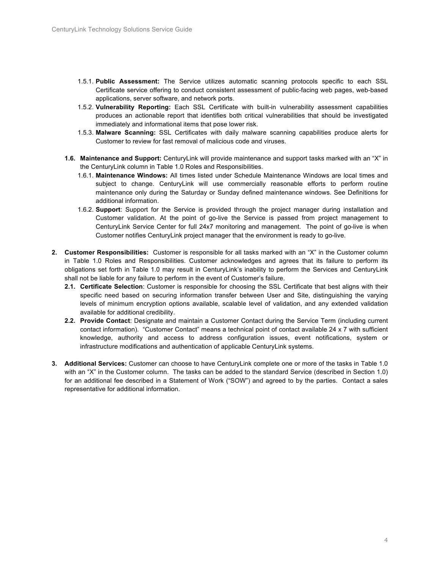- 1.5.1. **Public Assessment:** The Service utilizes automatic scanning protocols specific to each SSL Certificate service offering to conduct consistent assessment of public-facing web pages, web-based applications, server software, and network ports.
- 1.5.2. **Vulnerability Reporting:** Each SSL Certificate with built-in vulnerability assessment capabilities produces an actionable report that identifies both critical vulnerabilities that should be investigated immediately and informational items that pose lower risk.
- 1.5.3. **Malware Scanning:** SSL Certificates with daily malware scanning capabilities produce alerts for Customer to review for fast removal of malicious code and viruses.
- **1.6. Maintenance and Support:** CenturyLink will provide maintenance and support tasks marked with an "X" in the CenturyLink column in Table 1.0 Roles and Responsibilities.
	- 1.6.1. **Maintenance Windows:** All times listed under Schedule Maintenance Windows are local times and subject to change. CenturyLink will use commercially reasonable efforts to perform routine maintenance only during the Saturday or Sunday defined maintenance windows. See Definitions for additional information.
	- 1.6.2. **Support**: Support for the Service is provided through the project manager during installation and Customer validation. At the point of go-live the Service is passed from project management to CenturyLink Service Center for full 24x7 monitoring and management. The point of go-live is when Customer notifies CenturyLink project manager that the environment is ready to go-live.
- **2. Customer Responsibilities:** Customer is responsible for all tasks marked with an "X" in the Customer column in Table 1.0 Roles and Responsibilities. Customer acknowledges and agrees that its failure to perform its obligations set forth in Table 1.0 may result in CenturyLink's inability to perform the Services and CenturyLink shall not be liable for any failure to perform in the event of Customer's failure.
	- **2.1. Certificate Selection**: Customer is responsible for choosing the SSL Certificate that best aligns with their specific need based on securing information transfer between User and Site, distinguishing the varying levels of minimum encryption options available, scalable level of validation, and any extended validation available for additional credibility.
	- **2.2. Provide Contact**: Designate and maintain a Customer Contact during the Service Term (including current contact information). "Customer Contact" means a technical point of contact available 24 x 7 with sufficient knowledge, authority and access to address configuration issues, event notifications, system or infrastructure modifications and authentication of applicable CenturyLink systems.
- **3. Additional Services:** Customer can choose to have CenturyLink complete one or more of the tasks in Table 1.0 with an "X" in the Customer column. The tasks can be added to the standard Service (described in Section 1.0) for an additional fee described in a Statement of Work ("SOW") and agreed to by the parties. Contact a sales representative for additional information.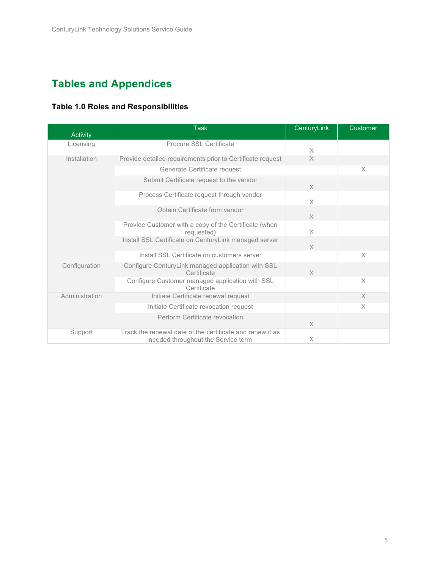## **Tables and Appendices**

| Activity       | <b>Task</b>                                                                                     | CenturyLink | <b>Customer</b> |
|----------------|-------------------------------------------------------------------------------------------------|-------------|-----------------|
| Licensing      | Procure SSL Certificate                                                                         | Χ           |                 |
| Installation   | Provide detailed requirements prior to Certificate request                                      | $\times$    |                 |
|                | Generate Certificate request                                                                    |             | X               |
|                | Submit Certificate request to the vendor                                                        | $\times$    |                 |
|                | Process Certificate request through vendor                                                      | X           |                 |
|                | Obtain Certificate from vendor                                                                  | $\times$    |                 |
|                | Provide Customer with a copy of the Certificate (when<br>requested)                             | X           |                 |
|                | Install SSL Certificate on CenturyLink managed server                                           | $\times$    |                 |
|                | Install SSL Certificate on customers server                                                     |             | X               |
| Configuration  | Configure CenturyLink managed application with SSL<br>Certificate                               | X           |                 |
|                | Configure Customer managed application with SSL<br>Certificate                                  |             | $\times$        |
| Administration | Initiate Certificate renewal request                                                            |             | $\times$        |
|                | Initiate Certificate revocation request                                                         |             | X               |
|                | Perform Certificate revocation                                                                  | $\times$    |                 |
| Support        | Track the renewal date of the certificate and renew it as<br>needed throughout the Service term | X           |                 |

#### **Table 1.0 Roles and Responsibilities**